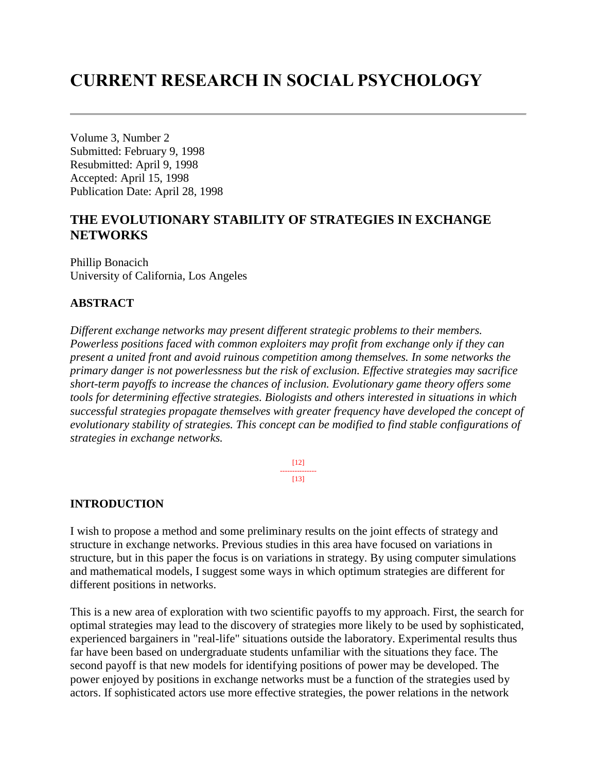# **CURRENT RESEARCH IN SOCIAL PSYCHOLOGY**

Volume 3, Number 2 Submitted: February 9, 1998 Resubmitted: April 9, 1998 Accepted: April 15, 1998 Publication Date: April 28, 1998

# **THE EVOLUTIONARY STABILITY OF STRATEGIES IN EXCHANGE NETWORKS**

Phillip Bonacich University of California, Los Angeles

### **ABSTRACT**

*Different exchange networks may present different strategic problems to their members. Powerless positions faced with common exploiters may profit from exchange only if they can present a united front and avoid ruinous competition among themselves. In some networks the primary danger is not powerlessness but the risk of exclusion. Effective strategies may sacrifice short-term payoffs to increase the chances of inclusion. Evolutionary game theory offers some tools for determining effective strategies. Biologists and others interested in situations in which successful strategies propagate themselves with greater frequency have developed the concept of evolutionary stability of strategies. This concept can be modified to find stable configurations of strategies in exchange networks.*

> [12] ---------------  $[13]$

### **INTRODUCTION**

I wish to propose a method and some preliminary results on the joint effects of strategy and structure in exchange networks. Previous studies in this area have focused on variations in structure, but in this paper the focus is on variations in strategy. By using computer simulations and mathematical models, I suggest some ways in which optimum strategies are different for different positions in networks.

This is a new area of exploration with two scientific payoffs to my approach. First, the search for optimal strategies may lead to the discovery of strategies more likely to be used by sophisticated, experienced bargainers in "real-life" situations outside the laboratory. Experimental results thus far have been based on undergraduate students unfamiliar with the situations they face. The second payoff is that new models for identifying positions of power may be developed. The power enjoyed by positions in exchange networks must be a function of the strategies used by actors. If sophisticated actors use more effective strategies, the power relations in the network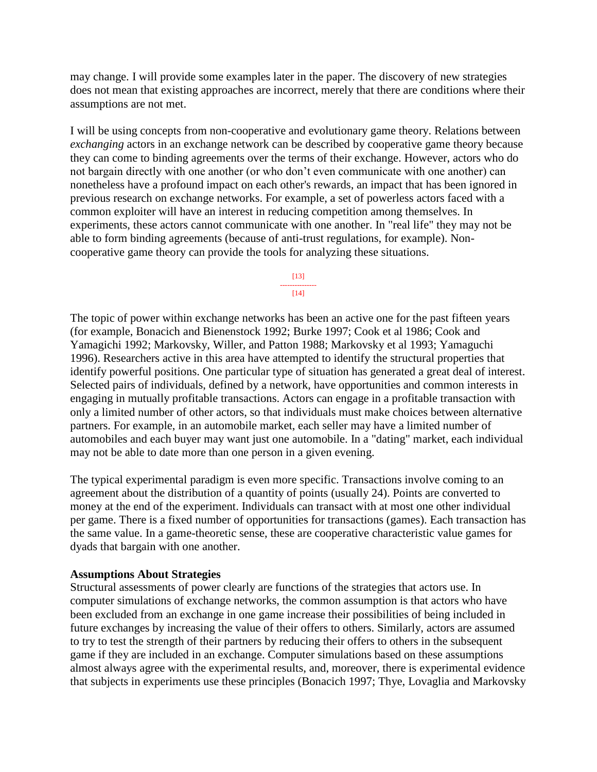may change. I will provide some examples later in the paper. The discovery of new strategies does not mean that existing approaches are incorrect, merely that there are conditions where their assumptions are not met.

I will be using concepts from non-cooperative and evolutionary game theory. Relations between *exchanging* actors in an exchange network can be described by cooperative game theory because they can come to binding agreements over the terms of their exchange. However, actors who do not bargain directly with one another (or who don't even communicate with one another) can nonetheless have a profound impact on each other's rewards, an impact that has been ignored in previous research on exchange networks. For example, a set of powerless actors faced with a common exploiter will have an interest in reducing competition among themselves. In experiments, these actors cannot communicate with one another. In "real life" they may not be able to form binding agreements (because of anti-trust regulations, for example). Noncooperative game theory can provide the tools for analyzing these situations.

> [13] ---------------  $[14]$

The topic of power within exchange networks has been an active one for the past fifteen years (for example, Bonacich and Bienenstock 1992; Burke 1997; Cook et al 1986; Cook and Yamagichi 1992; Markovsky, Willer, and Patton 1988; Markovsky et al 1993; Yamaguchi 1996). Researchers active in this area have attempted to identify the structural properties that identify powerful positions. One particular type of situation has generated a great deal of interest. Selected pairs of individuals, defined by a network, have opportunities and common interests in engaging in mutually profitable transactions. Actors can engage in a profitable transaction with only a limited number of other actors, so that individuals must make choices between alternative partners. For example, in an automobile market, each seller may have a limited number of automobiles and each buyer may want just one automobile. In a "dating" market, each individual may not be able to date more than one person in a given evening.

The typical experimental paradigm is even more specific. Transactions involve coming to an agreement about the distribution of a quantity of points (usually 24). Points are converted to money at the end of the experiment. Individuals can transact with at most one other individual per game. There is a fixed number of opportunities for transactions (games). Each transaction has the same value. In a game-theoretic sense, these are cooperative characteristic value games for dyads that bargain with one another.

### **Assumptions About Strategies**

Structural assessments of power clearly are functions of the strategies that actors use. In computer simulations of exchange networks, the common assumption is that actors who have been excluded from an exchange in one game increase their possibilities of being included in future exchanges by increasing the value of their offers to others. Similarly, actors are assumed to try to test the strength of their partners by reducing their offers to others in the subsequent game if they are included in an exchange. Computer simulations based on these assumptions almost always agree with the experimental results, and, moreover, there is experimental evidence that subjects in experiments use these principles (Bonacich 1997; Thye, Lovaglia and Markovsky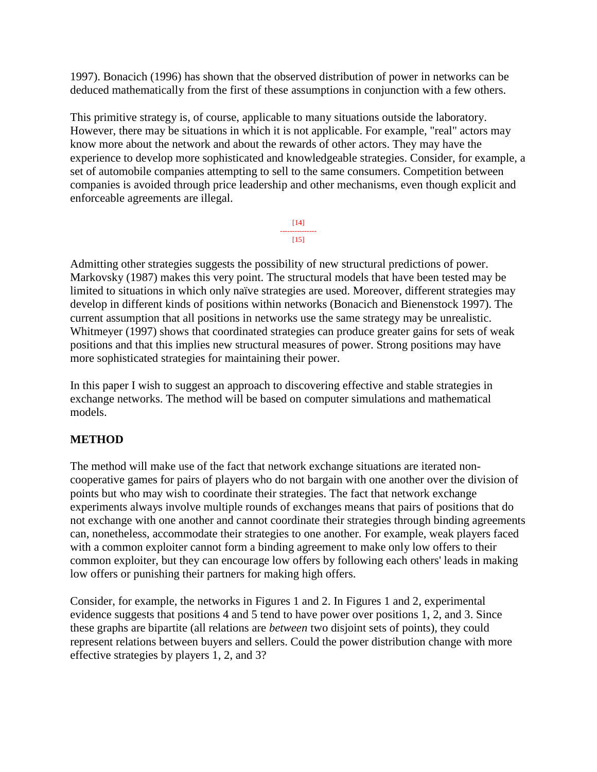1997). Bonacich (1996) has shown that the observed distribution of power in networks can be deduced mathematically from the first of these assumptions in conjunction with a few others.

This primitive strategy is, of course, applicable to many situations outside the laboratory. However, there may be situations in which it is not applicable. For example, "real" actors may know more about the network and about the rewards of other actors. They may have the experience to develop more sophisticated and knowledgeable strategies. Consider, for example, a set of automobile companies attempting to sell to the same consumers. Competition between companies is avoided through price leadership and other mechanisms, even though explicit and enforceable agreements are illegal.

> [14] --------------- [15]

Admitting other strategies suggests the possibility of new structural predictions of power. Markovsky (1987) makes this very point. The structural models that have been tested may be limited to situations in which only naïve strategies are used. Moreover, different strategies may develop in different kinds of positions within networks (Bonacich and Bienenstock 1997). The current assumption that all positions in networks use the same strategy may be unrealistic. Whitmeyer (1997) shows that coordinated strategies can produce greater gains for sets of weak positions and that this implies new structural measures of power. Strong positions may have more sophisticated strategies for maintaining their power.

In this paper I wish to suggest an approach to discovering effective and stable strategies in exchange networks. The method will be based on computer simulations and mathematical models.

### **METHOD**

The method will make use of the fact that network exchange situations are iterated noncooperative games for pairs of players who do not bargain with one another over the division of points but who may wish to coordinate their strategies. The fact that network exchange experiments always involve multiple rounds of exchanges means that pairs of positions that do not exchange with one another and cannot coordinate their strategies through binding agreements can, nonetheless, accommodate their strategies to one another. For example, weak players faced with a common exploiter cannot form a binding agreement to make only low offers to their common exploiter, but they can encourage low offers by following each others' leads in making low offers or punishing their partners for making high offers.

Consider, for example, the networks in Figures 1 and 2. In Figures 1 and 2, experimental evidence suggests that positions 4 and 5 tend to have power over positions 1, 2, and 3. Since these graphs are bipartite (all relations are *between* two disjoint sets of points), they could represent relations between buyers and sellers. Could the power distribution change with more effective strategies by players 1, 2, and 3?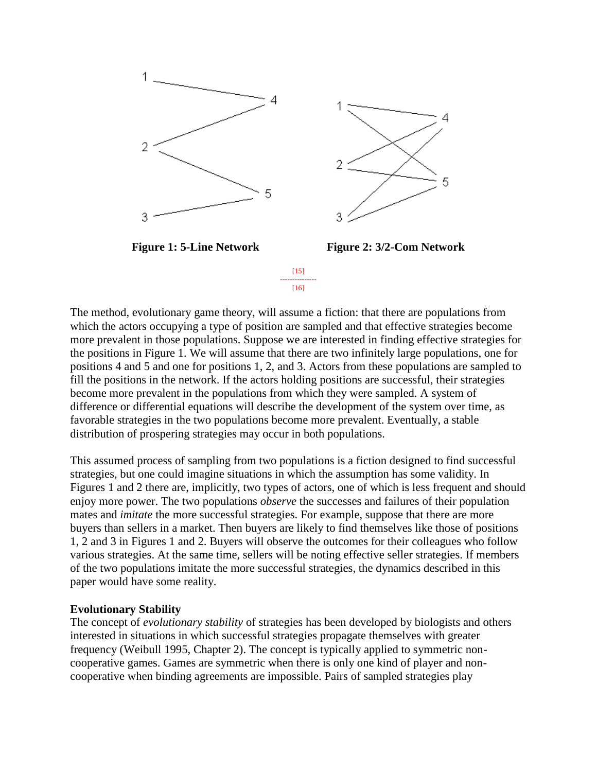

The method, evolutionary game theory, will assume a fiction: that there are populations from which the actors occupying a type of position are sampled and that effective strategies become more prevalent in those populations. Suppose we are interested in finding effective strategies for the positions in Figure 1. We will assume that there are two infinitely large populations, one for positions 4 and 5 and one for positions 1, 2, and 3. Actors from these populations are sampled to fill the positions in the network. If the actors holding positions are successful, their strategies become more prevalent in the populations from which they were sampled. A system of difference or differential equations will describe the development of the system over time, as favorable strategies in the two populations become more prevalent. Eventually, a stable distribution of prospering strategies may occur in both populations.

This assumed process of sampling from two populations is a fiction designed to find successful strategies, but one could imagine situations in which the assumption has some validity. In Figures 1 and 2 there are, implicitly, two types of actors, one of which is less frequent and should enjoy more power. The two populations *observe* the successes and failures of their population mates and *imitate* the more successful strategies. For example, suppose that there are more buyers than sellers in a market. Then buyers are likely to find themselves like those of positions 1, 2 and 3 in Figures 1 and 2. Buyers will observe the outcomes for their colleagues who follow various strategies. At the same time, sellers will be noting effective seller strategies. If members of the two populations imitate the more successful strategies, the dynamics described in this paper would have some reality.

### **Evolutionary Stability**

The concept of *evolutionary stability* of strategies has been developed by biologists and others interested in situations in which successful strategies propagate themselves with greater frequency (Weibull 1995, Chapter 2). The concept is typically applied to symmetric noncooperative games. Games are symmetric when there is only one kind of player and noncooperative when binding agreements are impossible. Pairs of sampled strategies play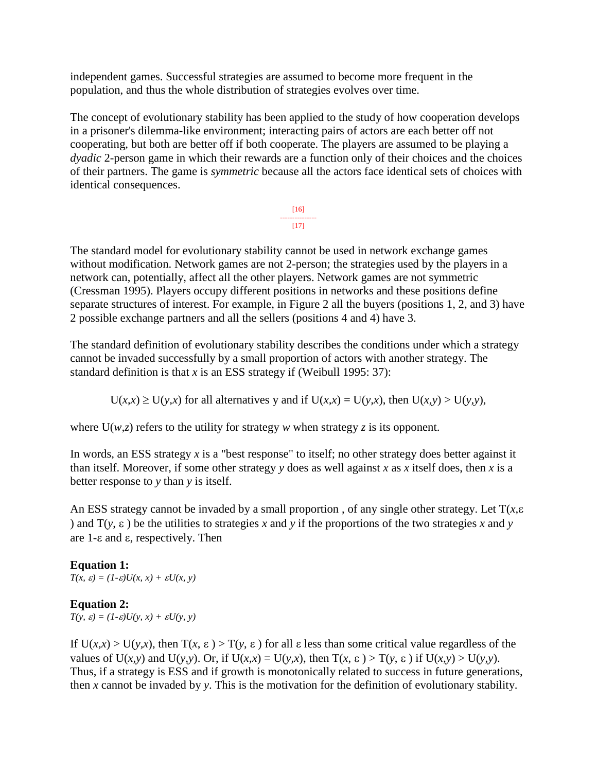independent games. Successful strategies are assumed to become more frequent in the population, and thus the whole distribution of strategies evolves over time.

The concept of evolutionary stability has been applied to the study of how cooperation develops in a prisoner's dilemma-like environment; interacting pairs of actors are each better off not cooperating, but both are better off if both cooperate. The players are assumed to be playing a *dyadic* 2-person game in which their rewards are a function only of their choices and the choices of their partners. The game is *symmetric* because all the actors face identical sets of choices with identical consequences.

> [16] ---------------  $[17]$

The standard model for evolutionary stability cannot be used in network exchange games without modification. Network games are not 2-person; the strategies used by the players in a network can, potentially, affect all the other players. Network games are not symmetric (Cressman 1995). Players occupy different positions in networks and these positions define separate structures of interest. For example, in Figure 2 all the buyers (positions 1, 2, and 3) have 2 possible exchange partners and all the sellers (positions 4 and 4) have 3.

The standard definition of evolutionary stability describes the conditions under which a strategy cannot be invaded successfully by a small proportion of actors with another strategy. The standard definition is that *x* is an ESS strategy if (Weibull 1995: 37):

 $U(x,x) \ge U(y,x)$  for all alternatives y and if  $U(x,x) = U(y,x)$ , then  $U(x,y) > U(y,y)$ ,

where  $U(w, z)$  refers to the utility for strategy *w* when strategy *z* is its opponent.

In words, an ESS strategy *x* is a "best response" to itself; no other strategy does better against it than itself. Moreover, if some other strategy *y* does as well against *x* as *x* itself does, then *x* is a better response to *y* than *y* is itself.

An ESS strategy cannot be invaded by a small proportion, of any single other strategy. Let  $T(x, \varepsilon)$ ) and  $T(y, \varepsilon)$  be the utilities to strategies x and y if the proportions of the two strategies x and y are  $1$ - $\varepsilon$  and  $\varepsilon$ , respectively. Then

# **Equation 1:**

 $T(x, \varepsilon) = (1-\varepsilon)U(x, x) + \varepsilon U(x, y)$ 

# **Equation 2:**

 $T(y, \varepsilon) = (1-\varepsilon)U(y, x) + \varepsilon U(y, y)$ 

If  $U(x,x) > U(y,x)$ , then  $T(x, \varepsilon) > T(y, \varepsilon)$  for all  $\varepsilon$  less than some critical value regardless of the values of  $U(x, y)$  and  $U(y, y)$ . Or, if  $U(x, x) = U(y, x)$ , then  $T(x, \varepsilon) > T(y, \varepsilon)$  if  $U(x, y) > U(y, y)$ . Thus, if a strategy is ESS and if growth is monotonically related to success in future generations, then *x* cannot be invaded by *y*. This is the motivation for the definition of evolutionary stability.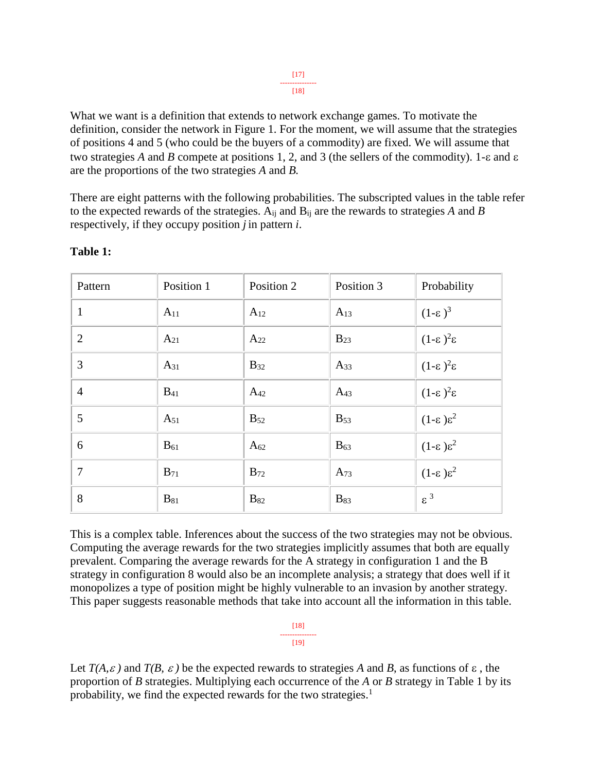What we want is a definition that extends to network exchange games. To motivate the definition, consider the network in Figure 1. For the moment, we will assume that the strategies of positions 4 and 5 (who could be the buyers of a commodity) are fixed. We will assume that two strategies *A* and *B* compete at positions 1, 2, and 3 (the sellers of the commodity). 1- $\varepsilon$  and  $\varepsilon$ are the proportions of the two strategies *A* and *B.*

There are eight patterns with the following probabilities. The subscripted values in the table refer to the expected rewards of the strategies. Aij and Bij are the rewards to strategies *A* and *B* respectively, if they occupy position *j* in pattern *i*.

| Pattern        | Position 1 | Position 2             | Position 3             | Probability               |
|----------------|------------|------------------------|------------------------|---------------------------|
| $\mathbf{1}$   | $A_{11}$   | $A_{12}$               | $A_{13}$               | $(1-\epsilon)^3$          |
| $\overline{2}$ | $A_{21}$   | $A_{22}$               | $B_{23}$               | $(1-\epsilon)^2 \epsilon$ |
| 3              | $A_{31}$   | $B_{32}$               | $A_{33}$               | $(1-\epsilon)^2 \epsilon$ |
| $\overline{4}$ | $B_{41}$   | $A_{42}$               | $A_{43}$               | $(1-\epsilon)^2 \epsilon$ |
| 5              | $A_{51}$   | $B_{52}$               | $B_{53}$               | $(1-\epsilon)\epsilon^2$  |
| 6              | $B_{61}$   | $A_{62}$               | $B_{63}$               | $(1-\epsilon)\epsilon^2$  |
| $\overline{7}$ | $B_{71}$   | $B_{72}$               | $A_{73}$               | $(1-\epsilon)\epsilon^2$  |
| 8              | $B_{81}$   | <b>B</b> <sub>82</sub> | <b>B</b> <sub>83</sub> | $\varepsilon^3$           |

### **Table 1:**

This is a complex table. Inferences about the success of the two strategies may not be obvious. Computing the average rewards for the two strategies implicitly assumes that both are equally prevalent. Comparing the average rewards for the A strategy in configuration 1 and the B strategy in configuration 8 would also be an incomplete analysis; a strategy that does well if it monopolizes a type of position might be highly vulnerable to an invasion by another strategy. This paper suggests reasonable methods that take into account all the information in this table.

> [18] ---------------  $[19]$

Let  $T(A, \varepsilon)$  and  $T(B, \varepsilon)$  be the expected rewards to strategies A and B, as functions of  $\varepsilon$ , the proportion of *B* strategies. Multiplying each occurrence of the *A* or *B* strategy in Table 1 by its probability, we find the expected rewards for the two strategies.<sup>1</sup>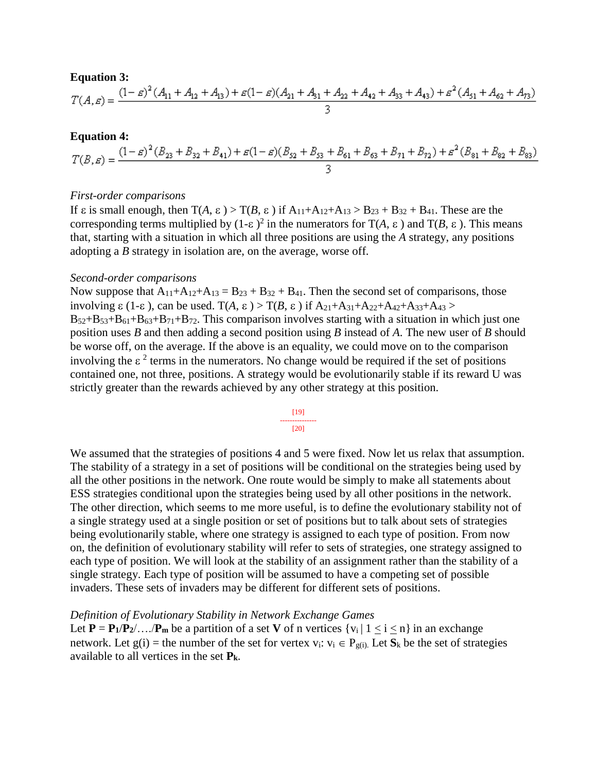### **Equation 3:**

$$
T(A,\varepsilon)=\frac{(1-\varepsilon)^2\left(A_{11}+A_{12}+A_{13}\right)+\varepsilon(1-\varepsilon)(A_{21}+A_{31}+A_{22}+A_{42}+A_{33}+A_{43})+\varepsilon^2\left(A_{51}+A_{62}+A_{73}\right)}{3}
$$

### **Equation 4:**

$$
T(B,\varepsilon)=\frac{(1-\varepsilon)^2 (B_{23}+B_{32}+B_{41})+\varepsilon (1-\varepsilon) (B_{52}+B_{53}+B_{61}+B_{63}+B_{71}+B_{72})+\varepsilon ^2 (B_{81}+B_{82}+B_{83})}{3}
$$

### *First-order comparisons*

If  $\varepsilon$  is small enough, then  $T(A, \varepsilon) > T(B, \varepsilon)$  if  $A_{11}+A_{12}+A_{13} > B_{23} + B_{32} + B_{41}$ . These are the corresponding terms multiplied by  $(1-\varepsilon)^2$  in the numerators for T(*A*,  $\varepsilon$ ) and T(*B*,  $\varepsilon$ ). This means that, starting with a situation in which all three positions are using the *A* strategy, any positions adopting a *B* strategy in isolation are, on the average, worse off.

### *Second-order comparisons*

Now suppose that  $A_{11}+A_{12}+A_{13} = B_{23} + B_{32} + B_{41}$ . Then the second set of comparisons, those involving  $\varepsilon$  (1- $\varepsilon$ ), can be used. T(A,  $\varepsilon$ ) > T(B,  $\varepsilon$ ) if  $A_{21}+A_{31}+A_{22}+A_{42}+A_{33}+A_{43}$  $B_{52}+B_{53}+B_{61}+B_{63}+B_{71}+B_{72}$ . This comparison involves starting with a situation in which just one position uses *B* and then adding a second position using *B* instead of *A*. The new user of *B* should be worse off, on the average. If the above is an equality, we could move on to the comparison involving the  $\epsilon^2$  terms in the numerators. No change would be required if the set of positions contained one, not three, positions. A strategy would be evolutionarily stable if its reward U was strictly greater than the rewards achieved by any other strategy at this position.

$$
\begin{array}{c}\n[19] \\
[-2.0em] \hline\n[20]\n\end{array}
$$

We assumed that the strategies of positions 4 and 5 were fixed. Now let us relax that assumption. The stability of a strategy in a set of positions will be conditional on the strategies being used by all the other positions in the network. One route would be simply to make all statements about ESS strategies conditional upon the strategies being used by all other positions in the network. The other direction, which seems to me more useful, is to define the evolutionary stability not of a single strategy used at a single position or set of positions but to talk about sets of strategies being evolutionarily stable, where one strategy is assigned to each type of position. From now on, the definition of evolutionary stability will refer to sets of strategies, one strategy assigned to each type of position. We will look at the stability of an assignment rather than the stability of a single strategy. Each type of position will be assumed to have a competing set of possible invaders. These sets of invaders may be different for different sets of positions.

#### *Definition of Evolutionary Stability in Network Exchange Games*

Let  $P = P_1/P_2/\dots/P_m$  be a partition of a set V of n vertices  $\{v_i | 1 \le i \le n\}$  in an exchange network. Let  $g(i)$  = the number of the set for vertex  $v_i$ :  $v_i \in P_{g(i)}$ . Let  $S_k$  be the set of strategies available to all vertices in the set **Pk**.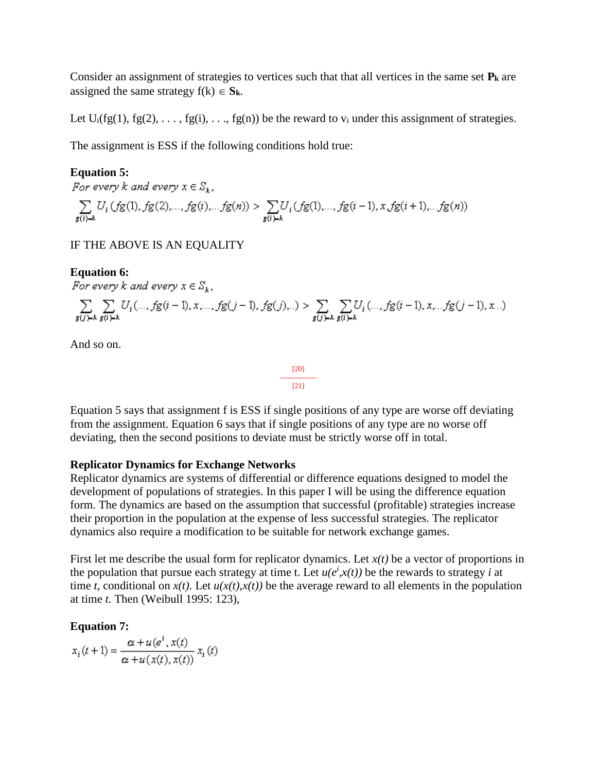Consider an assignment of strategies to vertices such that that all vertices in the same set **P<sup>k</sup>** are assigned the same strategy  $f(k) \in S_k$ .

Let  $U_i(fg(1), fg(2), \ldots, fg(i), \ldots, fg(n))$  be the reward to  $v_i$  under this assignment of strategies.

The assignment is ESS if the following conditions hold true:

### **Equation 5:**

For every k and every  $x \in S_k$ ,

 $\sum_{g(i) = k} U_i(fg(1), fg(2), \ldots, fg(i), \ldots fg(n)) > \sum_{g(i) = k} U_i(fg(1), \ldots, fg(i-1), x, fg(i+1), \ldots fg(n))$ 

# IF THE ABOVE IS AN EQUALITY

**Equation 6:**<br>For every k and every  $x \in S_k$ ,

$$
\sum_{g(j) \vdash k} \sum_{g(i) \vdash k} U_i(...,fg(i-1),x,...,fg(j-1),fg(j)...) > \sum_{g(j) \vdash k} \sum_{g(i) \vdash k} U_i(...,fg(i-1),x...,fg(j-1),x...)
$$

And so on.

Equation 5 says that assignment f is ESS if single positions of any type are worse off deviating from the assignment. Equation 6 says that if single positions of any type are no worse off deviating, then the second positions to deviate must be strictly worse off in total.

### **Replicator Dynamics for Exchange Networks**

Replicator dynamics are systems of differential or difference equations designed to model the development of populations of strategies. In this paper I will be using the difference equation form. The dynamics are based on the assumption that successful (profitable) strategies increase their proportion in the population at the expense of less successful strategies. The replicator dynamics also require a modification to be suitable for network exchange games.

First let me describe the usual form for replicator dynamics. Let  $x(t)$  be a vector of proportions in the population that pursue each strategy at time t. Let  $u(e^i, x(t))$  be the rewards to strategy *i* at time *t*, conditional on  $x(t)$ . Let  $u(x(t),x(t))$  be the average reward to all elements in the population at time *t*. Then (Weibull 1995: 123),

### **Equation 7:**

$$
x_i(t+1) = \frac{\alpha + u(e^i, x(t))}{\alpha + u(x(t), x(t))} x_i(t)
$$

$$
\begin{array}{c}\n [20] \\
 \overline{21} \end{array}
$$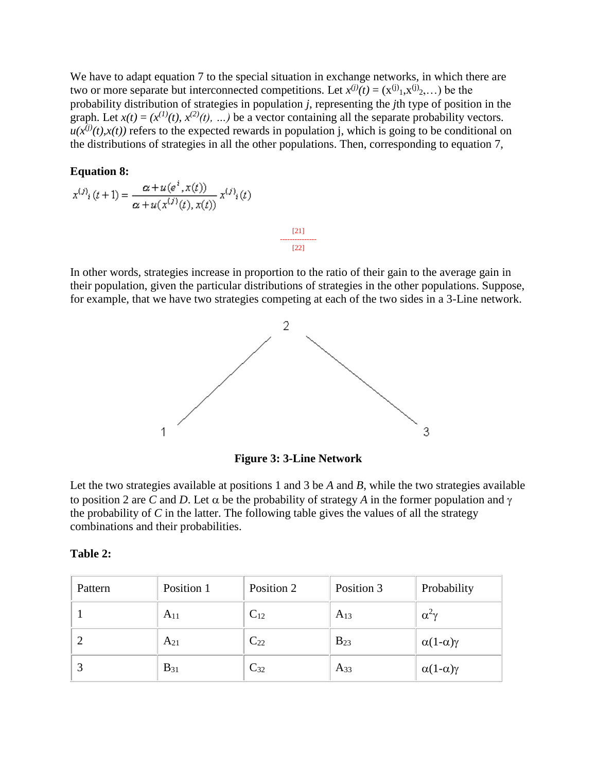We have to adapt equation 7 to the special situation in exchange networks, in which there are two or more separate but interconnected competitions. Let  $x^{(j)}(t) = (x^{(j)}_1, x^{(j)}_2, \dots)$  be the probability distribution of strategies in population *j*, representing the *j*th type of position in the graph. Let  $x(t) = (x^{(1)}(t), x^{(2)}(t), ...)$  be a vector containing all the separate probability vectors.  $u(x^{(j)}(t),x(t))$  refers to the expected rewards in population j, which is going to be conditional on the distributions of strategies in all the other populations. Then, corresponding to equation 7,

### **Equation 8:**

$$
x^{(j)}(t+1) = \frac{\alpha + u(e^x, x(t))}{\alpha + u(x^{(j)}(t), x(t))} x^{(j)}(t)
$$

In other words, strategies increase in proportion to the ratio of their gain to the average gain in their population, given the particular distributions of strategies in the other populations. Suppose, for example, that we have two strategies competing at each of the two sides in a 3-Line network.

[21] --------------- [22]



**Figure 3: 3-Line Network**

Let the two strategies available at positions 1 and 3 be *A* and *B*, while the two strategies available to position 2 are *C* and *D*. Let  $\alpha$  be the probability of strategy *A* in the former population and  $\gamma$ the probability of *C* in the latter. The following table gives the values of all the strategy combinations and their probabilities.

| 'able |  |
|-------|--|
|-------|--|

| Pattern | Position 1 | Position 2 | Position 3 | Probability              |
|---------|------------|------------|------------|--------------------------|
|         | $A_{11}$   | $C_{12}$   | $A_{13}$   | $\alpha^2 \gamma$        |
| ി       | $A_{21}$   | $C_{22}$   | $B_{23}$   | $\alpha(1-\alpha)\gamma$ |
|         | $B_{31}$   | $C_{32}$   | $A_{33}$   | $\alpha(1-\alpha)\gamma$ |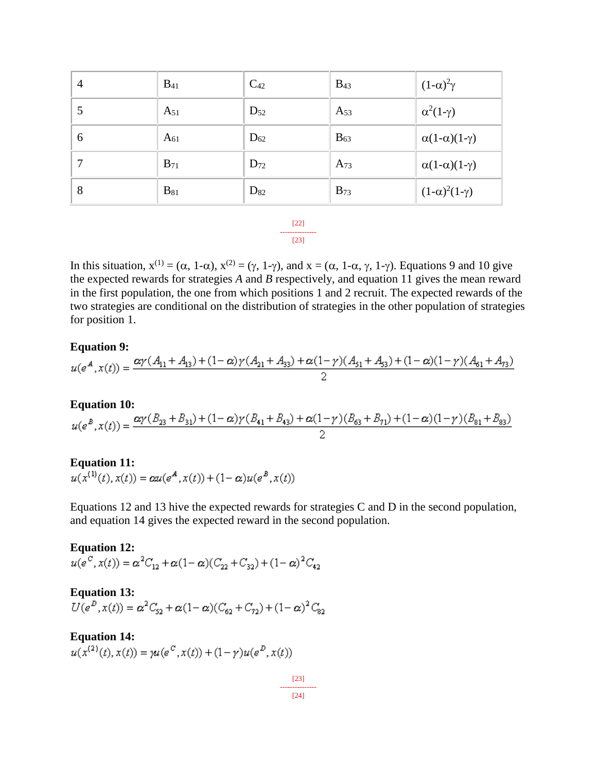| $\overline{4}$ | $B_{41}$ | $C_{42}$ | $B_{43}$ | $(1-\alpha)^2\gamma$         |
|----------------|----------|----------|----------|------------------------------|
| 5              | $A_{51}$ | $D_{52}$ | $A_{53}$ | $\alpha^2(1-\gamma)$         |
| 6              | $A_{61}$ | $D_{62}$ | $B_{63}$ | $\alpha(1-\alpha)(1-\gamma)$ |
| 7              | $B_{71}$ | $D_{72}$ | $A_{73}$ | $\alpha(1-\alpha)(1-\gamma)$ |
| 8              | $B_{81}$ | $D_{82}$ | $B_{73}$ | $(1-\alpha)^2(1-\gamma)$     |

[22] --------------- [23]

In this situation,  $x^{(1)} = (\alpha, 1-\alpha), x^{(2)} = (\gamma, 1-\gamma)$ , and  $x = (\alpha, 1-\alpha, \gamma, 1-\gamma)$ . Equations 9 and 10 give the expected rewards for strategies *A* and *B* respectively, and equation 11 gives the mean reward in the first population, the one from which positions 1 and 2 recruit. The expected rewards of the two strategies are conditional on the distribution of strategies in the other population of strategies for position 1.

### **Equation 9:**

$$
u(e^A, x(t)) = \frac{\alpha \gamma (A_{11} + A_{13}) + (1 - \alpha) \gamma (A_{21} + A_{33}) + \alpha (1 - \gamma) (A_{51} + A_{53}) + (1 - \alpha) (1 - \gamma) (A_{61} + A_{73})}{2}
$$

### **Equation 10:**

$$
u(e^{B}, x(t)) = \frac{\alpha \gamma (B_{23} + B_{31}) + (1 - \alpha) \gamma (B_{41} + B_{43}) + \alpha (1 - \gamma) (B_{63} + B_{71}) + (1 - \alpha) (1 - \gamma) (B_{81} + B_{83})}{2}
$$

# **Equation 11:**<br> $u(x^{(1)}(t), x(t)) = \alpha u(e^A, x(t)) + (1 - \alpha) u(e^B, x(t))$

Equations 12 and 13 hive the expected rewards for strategies C and D in the second population, and equation 14 gives the expected reward in the second population.

# **Equation 12:**<br> $u(e^C, x(t)) = \alpha^2 C_{12} + \alpha (1 - \alpha) (C_{22} + C_{32}) + (1 - \alpha)^2 C_{42}$

# **Equation 13:**<br> $U(e^D, x(t)) = \alpha^2 C_{52} + \alpha (1 - \alpha) (C_{62} + C_{72}) + (1 - \alpha)^2 C_{82}$

**Equation 14:**<br> $u(x^{(2)}(t), x(t)) = u(e^{C}, x(t)) + (1 - \gamma)u(e^{D}, x(t))$ 

[23] --------------- [24]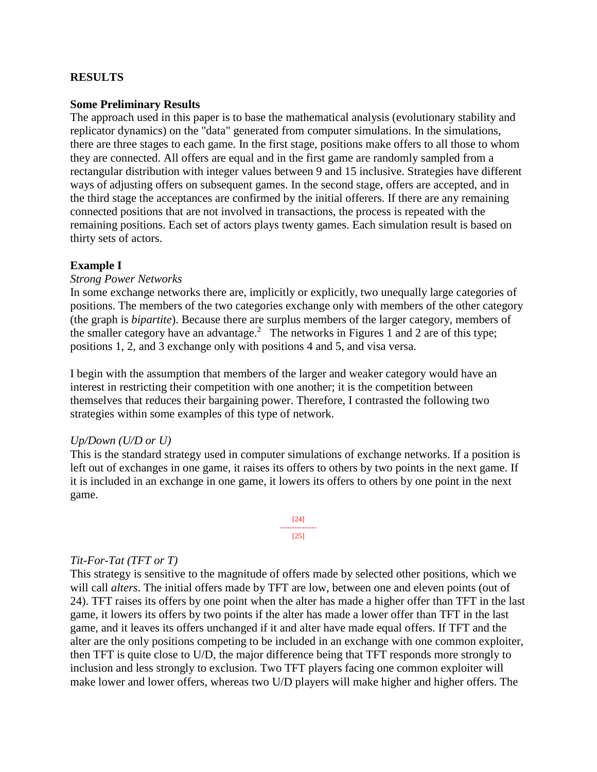### **RESULTS**

### **Some Preliminary Results**

The approach used in this paper is to base the mathematical analysis (evolutionary stability and replicator dynamics) on the "data" generated from computer simulations. In the simulations, there are three stages to each game. In the first stage, positions make offers to all those to whom they are connected. All offers are equal and in the first game are randomly sampled from a rectangular distribution with integer values between 9 and 15 inclusive. Strategies have different ways of adjusting offers on subsequent games. In the second stage, offers are accepted, and in the third stage the acceptances are confirmed by the initial offerers. If there are any remaining connected positions that are not involved in transactions, the process is repeated with the remaining positions. Each set of actors plays twenty games. Each simulation result is based on thirty sets of actors.

### **Example I**

### *Strong Power Networks*

In some exchange networks there are, implicitly or explicitly, two unequally large categories of positions. The members of the two categories exchange only with members of the other category (the graph is *bipartite*). Because there are surplus members of the larger category, members of the smaller category have an advantage.<sup>2</sup> The networks in Figures 1 and 2 are of this type; positions 1, 2, and 3 exchange only with positions 4 and 5, and visa versa.

I begin with the assumption that members of the larger and weaker category would have an interest in restricting their competition with one another; it is the competition between themselves that reduces their bargaining power. Therefore, I contrasted the following two strategies within some examples of this type of network.

### *Up/Down (U/D or U)*

This is the standard strategy used in computer simulations of exchange networks. If a position is left out of exchanges in one game, it raises its offers to others by two points in the next game. If it is included in an exchange in one game, it lowers its offers to others by one point in the next game.



### *Tit-For-Tat (TFT or T)*

This strategy is sensitive to the magnitude of offers made by selected other positions, which we will call *alters*. The initial offers made by TFT are low, between one and eleven points (out of 24). TFT raises its offers by one point when the alter has made a higher offer than TFT in the last game, it lowers its offers by two points if the alter has made a lower offer than TFT in the last game, and it leaves its offers unchanged if it and alter have made equal offers. If TFT and the alter are the only positions competing to be included in an exchange with one common exploiter, then TFT is quite close to U/D, the major difference being that TFT responds more strongly to inclusion and less strongly to exclusion. Two TFT players facing one common exploiter will make lower and lower offers, whereas two U/D players will make higher and higher offers. The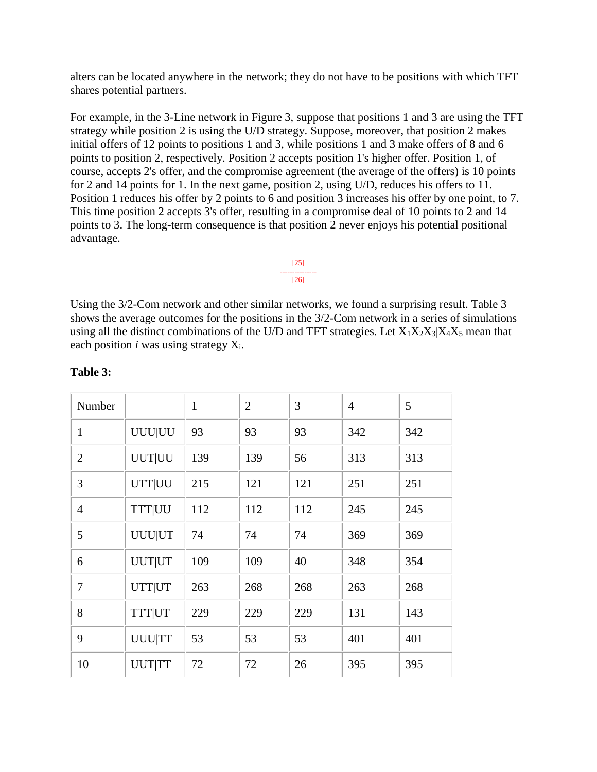alters can be located anywhere in the network; they do not have to be positions with which TFT shares potential partners.

For example, in the 3-Line network in Figure 3, suppose that positions 1 and 3 are using the TFT strategy while position 2 is using the U/D strategy. Suppose, moreover, that position 2 makes initial offers of 12 points to positions 1 and 3, while positions 1 and 3 make offers of 8 and 6 points to position 2, respectively. Position 2 accepts position 1's higher offer. Position 1, of course, accepts 2's offer, and the compromise agreement (the average of the offers) is 10 points for 2 and 14 points for 1. In the next game, position 2, using U/D, reduces his offers to 11. Position 1 reduces his offer by 2 points to 6 and position 3 increases his offer by one point, to 7. This time position 2 accepts 3's offer, resulting in a compromise deal of 10 points to 2 and 14 points to 3. The long-term consequence is that position 2 never enjoys his potential positional advantage.

Using the 3/2-Com network and other similar networks, we found a surprising result. Table 3 shows the average outcomes for the positions in the 3/2-Com network in a series of simulations using all the distinct combinations of the U/D and TFT strategies. Let  $X_1X_2X_3|X_4X_5$  mean that each position  $i$  was using strategy  $X_i$ .

[25] --------------- [26]

| Number         |               | $\mathbf{1}$ | $\overline{2}$ | 3   | $\overline{4}$ | 5   |
|----------------|---------------|--------------|----------------|-----|----------------|-----|
| $\mathbf{1}$   | <b>UUU UU</b> | 93           | 93             | 93  | 342            | 342 |
| $\overline{2}$ | <b>UUT UU</b> | 139          | 139            | 56  | 313            | 313 |
| 3              | <b>UTT UU</b> | 215          | 121            | 121 | 251            | 251 |
| $\overline{4}$ | <b>TTT UU</b> | 112          | 112            | 112 | 245            | 245 |
| 5              | <b>UUU UT</b> | 74           | 74             | 74  | 369            | 369 |
| 6              | <b>UUT UT</b> | 109          | 109            | 40  | 348            | 354 |
| 7              | <b>UTT UT</b> | 263          | 268            | 268 | 263            | 268 |
| 8              | <b>TTT UT</b> | 229          | 229            | 229 | 131            | 143 |
| 9              | <b>UUU TT</b> | 53           | 53             | 53  | 401            | 401 |
| 10             | <b>UUTTTT</b> | 72           | 72             | 26  | 395            | 395 |

### **Table 3:**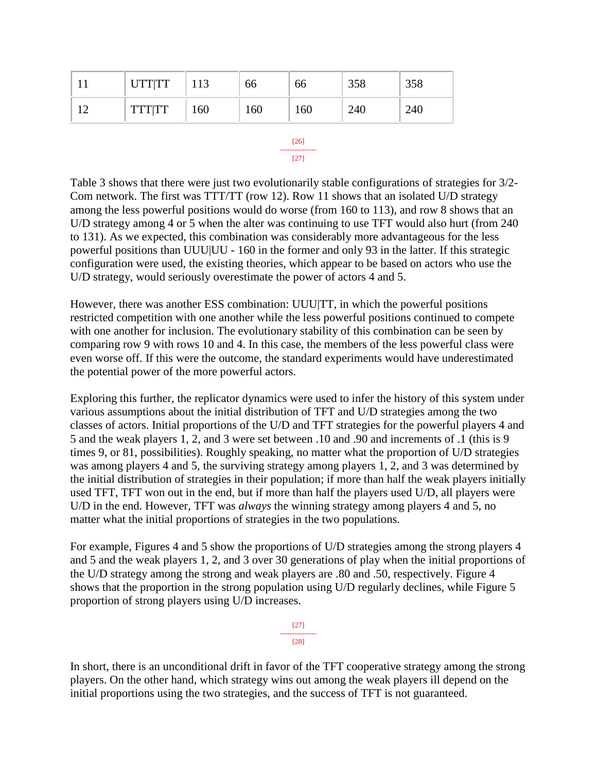| <b>TTTTTT</b><br>160<br>160<br>160<br>240<br>240 | <b>UTT TT</b> | 113 | oo | 66 | 358 | 358 |
|--------------------------------------------------|---------------|-----|----|----|-----|-----|
|                                                  |               |     |    |    |     |     |



Table 3 shows that there were just two evolutionarily stable configurations of strategies for 3/2- Com network. The first was TTT/TT (row 12). Row 11 shows that an isolated U/D strategy among the less powerful positions would do worse (from 160 to 113), and row 8 shows that an U/D strategy among 4 or 5 when the alter was continuing to use TFT would also hurt (from 240 to 131). As we expected, this combination was considerably more advantageous for the less powerful positions than UUU|UU - 160 in the former and only 93 in the latter. If this strategic configuration were used, the existing theories, which appear to be based on actors who use the U/D strategy, would seriously overestimate the power of actors 4 and 5.

However, there was another ESS combination: UUU|TT, in which the powerful positions restricted competition with one another while the less powerful positions continued to compete with one another for inclusion. The evolutionary stability of this combination can be seen by comparing row 9 with rows 10 and 4. In this case, the members of the less powerful class were even worse off. If this were the outcome, the standard experiments would have underestimated the potential power of the more powerful actors.

Exploring this further, the replicator dynamics were used to infer the history of this system under various assumptions about the initial distribution of TFT and U/D strategies among the two classes of actors. Initial proportions of the U/D and TFT strategies for the powerful players 4 and 5 and the weak players 1, 2, and 3 were set between .10 and .90 and increments of .1 (this is 9 times 9, or 81, possibilities). Roughly speaking, no matter what the proportion of U/D strategies was among players 4 and 5, the surviving strategy among players 1, 2, and 3 was determined by the initial distribution of strategies in their population; if more than half the weak players initially used TFT, TFT won out in the end, but if more than half the players used U/D, all players were U/D in the end. However, TFT was *always* the winning strategy among players 4 and 5, no matter what the initial proportions of strategies in the two populations.

For example, Figures 4 and 5 show the proportions of U/D strategies among the strong players 4 and 5 and the weak players 1, 2, and 3 over 30 generations of play when the initial proportions of the U/D strategy among the strong and weak players are .80 and .50, respectively. Figure 4 shows that the proportion in the strong population using U/D regularly declines, while Figure 5 proportion of strong players using U/D increases.

> [27] --------------- [28]

In short, there is an unconditional drift in favor of the TFT cooperative strategy among the strong players. On the other hand, which strategy wins out among the weak players ill depend on the initial proportions using the two strategies, and the success of TFT is not guaranteed.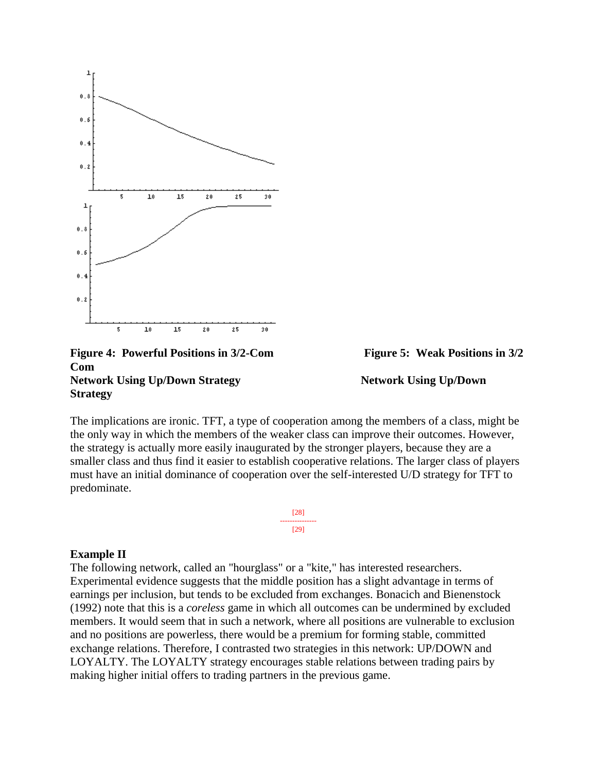

### **Figure 4: Powerful Positions in 3/2-Com Figure 5: Weak Positions in 3/2 Com Network Using Up/Down Strategy Network Using Up/Down Strategy Strategy**

The implications are ironic. TFT, a type of cooperation among the members of a class, might be the only way in which the members of the weaker class can improve their outcomes. However, the strategy is actually more easily inaugurated by the stronger players, because they are a smaller class and thus find it easier to establish cooperative relations. The larger class of players must have an initial dominance of cooperation over the self-interested U/D strategy for TFT to predominate.

> [28] --------------- [29]

### **Example II**

The following network, called an "hourglass" or a "kite," has interested researchers. Experimental evidence suggests that the middle position has a slight advantage in terms of earnings per inclusion, but tends to be excluded from exchanges. Bonacich and Bienenstock (1992) note that this is a *coreless* game in which all outcomes can be undermined by excluded members. It would seem that in such a network, where all positions are vulnerable to exclusion and no positions are powerless, there would be a premium for forming stable, committed exchange relations. Therefore, I contrasted two strategies in this network: UP/DOWN and LOYALTY. The LOYALTY strategy encourages stable relations between trading pairs by making higher initial offers to trading partners in the previous game.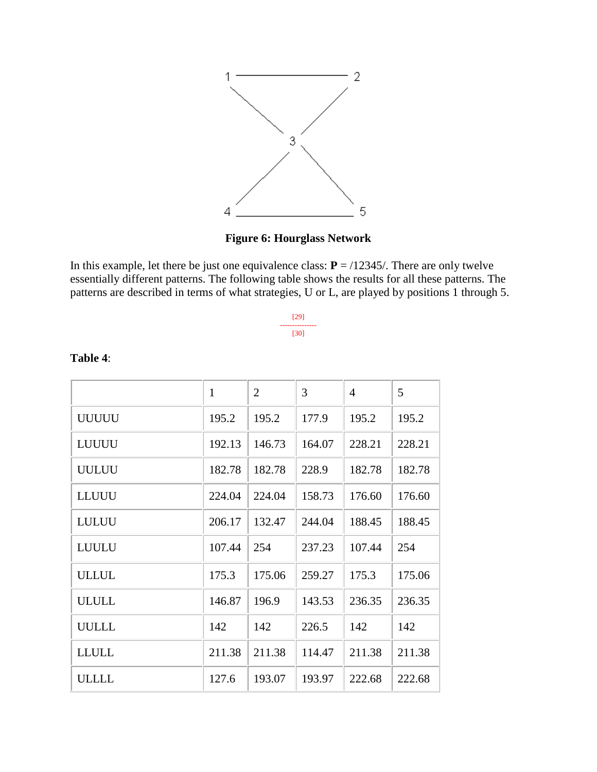

# **Figure 6: Hourglass Network**

In this example, let there be just one equivalence class:  $P = \frac{12345}{$ . There are only twelve essentially different patterns. The following table shows the results for all these patterns. The patterns are described in terms of what strategies, U or L, are played by positions 1 through 5.

| 1291 |  |
|------|--|
| [30] |  |

|               | $\mathbf{1}$ | $\overline{2}$ | 3      | $\overline{4}$ | 5      |
|---------------|--------------|----------------|--------|----------------|--------|
| <b>UUUUU</b>  | 195.2        | 195.2          | 177.9  | 195.2          | 195.2  |
| LUUUU         | 192.13       | 146.73         | 164.07 | 228.21         | 228.21 |
| <b>UULUU</b>  | 182.78       | 182.78         | 228.9  | 182.78         | 182.78 |
| <b>LLUUU</b>  | 224.04       | 224.04         | 158.73 | 176.60         | 176.60 |
| LULUU         | 206.17       | 132.47         | 244.04 | 188.45         | 188.45 |
| <b>LUULU</b>  | 107.44       | 254            | 237.23 | 107.44         | 254    |
| <b>ULLUL</b>  | 175.3        | 175.06         | 259.27 | 175.3          | 175.06 |
| <b>ULULL</b>  | 146.87       | 196.9          | 143.53 | 236.35         | 236.35 |
| <b>UULLL</b>  | 142          | 142            | 226.5  | 142            | 142    |
| <b>LLULL</b>  | 211.38       | 211.38         | 114.47 | 211.38         | 211.38 |
| <b>ULLLLL</b> | 127.6        | 193.07         | 193.97 | 222.68         | 222.68 |

# **Table 4**: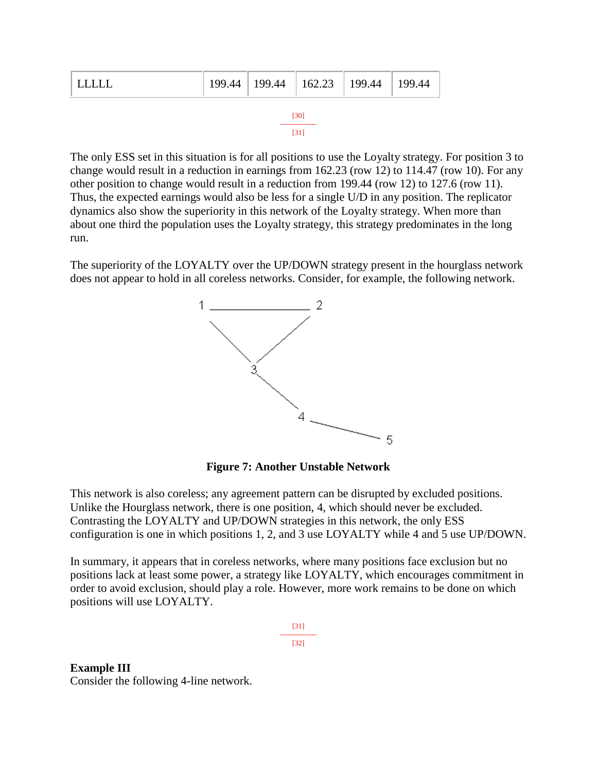| <b>IIIII</b> |      | $199.44$   199.44   162.23   199.44 |  |  | $\parallel$ 199.44 |  |
|--------------|------|-------------------------------------|--|--|--------------------|--|
|              | [30] |                                     |  |  |                    |  |

--------------- [31]

The only ESS set in this situation is for all positions to use the Loyalty strategy. For position 3 to change would result in a reduction in earnings from 162.23 (row 12) to 114.47 (row 10). For any other position to change would result in a reduction from 199.44 (row 12) to 127.6 (row 11). Thus, the expected earnings would also be less for a single U/D in any position. The replicator dynamics also show the superiority in this network of the Loyalty strategy. When more than about one third the population uses the Loyalty strategy, this strategy predominates in the long run.

The superiority of the LOYALTY over the UP/DOWN strategy present in the hourglass network does not appear to hold in all coreless networks. Consider, for example, the following network.



**Figure 7: Another Unstable Network**

This network is also coreless; any agreement pattern can be disrupted by excluded positions. Unlike the Hourglass network, there is one position, 4, which should never be excluded. Contrasting the LOYALTY and UP/DOWN strategies in this network, the only ESS configuration is one in which positions 1, 2, and 3 use LOYALTY while 4 and 5 use UP/DOWN.

In summary, it appears that in coreless networks, where many positions face exclusion but no positions lack at least some power, a strategy like LOYALTY, which encourages commitment in order to avoid exclusion, should play a role. However, more work remains to be done on which positions will use LOYALTY.

> [31] --------------- [32]

**Example III** Consider the following 4-line network.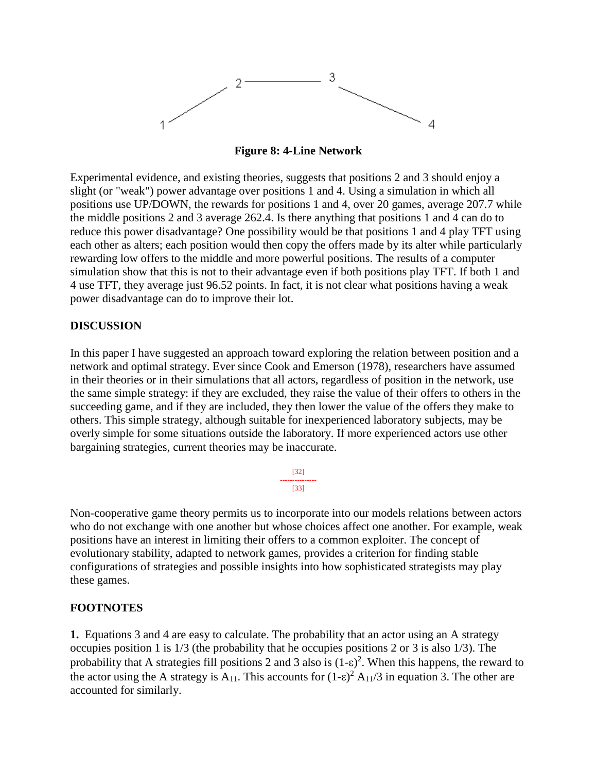

**Figure 8: 4-Line Network**

Experimental evidence, and existing theories, suggests that positions 2 and 3 should enjoy a slight (or "weak") power advantage over positions 1 and 4. Using a simulation in which all positions use UP/DOWN, the rewards for positions 1 and 4, over 20 games, average 207.7 while the middle positions 2 and 3 average 262.4. Is there anything that positions 1 and 4 can do to reduce this power disadvantage? One possibility would be that positions 1 and 4 play TFT using each other as alters; each position would then copy the offers made by its alter while particularly rewarding low offers to the middle and more powerful positions. The results of a computer simulation show that this is not to their advantage even if both positions play TFT. If both 1 and 4 use TFT, they average just 96.52 points. In fact, it is not clear what positions having a weak power disadvantage can do to improve their lot.

### **DISCUSSION**

In this paper I have suggested an approach toward exploring the relation between position and a network and optimal strategy. Ever since Cook and Emerson (1978), researchers have assumed in their theories or in their simulations that all actors, regardless of position in the network, use the same simple strategy: if they are excluded, they raise the value of their offers to others in the succeeding game, and if they are included, they then lower the value of the offers they make to others. This simple strategy, although suitable for inexperienced laboratory subjects, may be overly simple for some situations outside the laboratory. If more experienced actors use other bargaining strategies, current theories may be inaccurate.

> [32] --------------- [33]

Non-cooperative game theory permits us to incorporate into our models relations between actors who do not exchange with one another but whose choices affect one another. For example, weak positions have an interest in limiting their offers to a common exploiter. The concept of evolutionary stability, adapted to network games, provides a criterion for finding stable configurations of strategies and possible insights into how sophisticated strategists may play these games.

### **FOOTNOTES**

**1.** Equations 3 and 4 are easy to calculate. The probability that an actor using an A strategy occupies position 1 is 1/3 (the probability that he occupies positions 2 or 3 is also 1/3). The probability that A strategies fill positions 2 and 3 also is  $(1-\varepsilon)^2$ . When this happens, the reward to the actor using the A strategy is  $A_{11}$ . This accounts for  $(1-\epsilon)^2 A_{11}/3$  in equation 3. The other are accounted for similarly.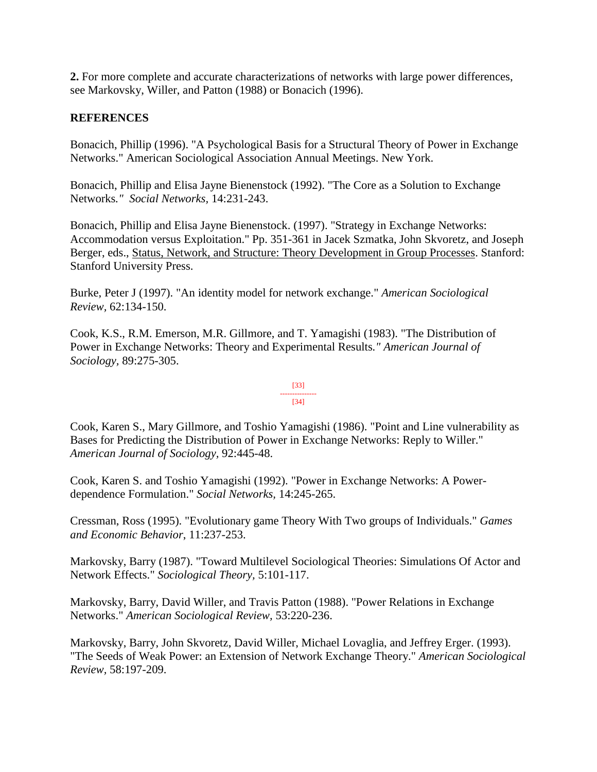**2.** For more complete and accurate characterizations of networks with large power differences, see Markovsky, Willer, and Patton (1988) or Bonacich (1996).

### **REFERENCES**

Bonacich, Phillip (1996). "A Psychological Basis for a Structural Theory of Power in Exchange Networks." American Sociological Association Annual Meetings. New York.

Bonacich, Phillip and Elisa Jayne Bienenstock (1992). "The Core as a Solution to Exchange Networks*." Social Networks,* 14:231-243.

Bonacich, Phillip and Elisa Jayne Bienenstock. (1997). "Strategy in Exchange Networks: Accommodation versus Exploitation." Pp. 351-361 in Jacek Szmatka, John Skvoretz, and Joseph Berger, eds., Status, Network, and Structure: Theory Development in Group Processes. Stanford: Stanford University Press.

Burke, Peter J (1997). "An identity model for network exchange." *American Sociological Review,* 62:134-150.

Cook, K.S., R.M. Emerson, M.R. Gillmore, and T. Yamagishi (1983). "The Distribution of Power in Exchange Networks: Theory and Experimental Results*." American Journal of Sociology,* 89:275-305.

#### [33] --------------- [34]

Cook, Karen S., Mary Gillmore, and Toshio Yamagishi (1986). "Point and Line vulnerability as Bases for Predicting the Distribution of Power in Exchange Networks: Reply to Willer." *American Journal of Sociology,* 92:445-48.

Cook, Karen S. and Toshio Yamagishi (1992). "Power in Exchange Networks: A Powerdependence Formulation." *Social Networks,* 14:245-265.

Cressman, Ross (1995). "Evolutionary game Theory With Two groups of Individuals." *Games and Economic Behavior*, 11:237-253.

Markovsky, Barry (1987). "Toward Multilevel Sociological Theories: Simulations Of Actor and Network Effects." *Sociological Theory,* 5:101-117.

Markovsky, Barry, David Willer, and Travis Patton (1988). "Power Relations in Exchange Networks." *American Sociological Review,* 53:220-236.

Markovsky, Barry, John Skvoretz, David Willer, Michael Lovaglia, and Jeffrey Erger. (1993). "The Seeds of Weak Power: an Extension of Network Exchange Theory." *American Sociological Review,* 58:197-209.